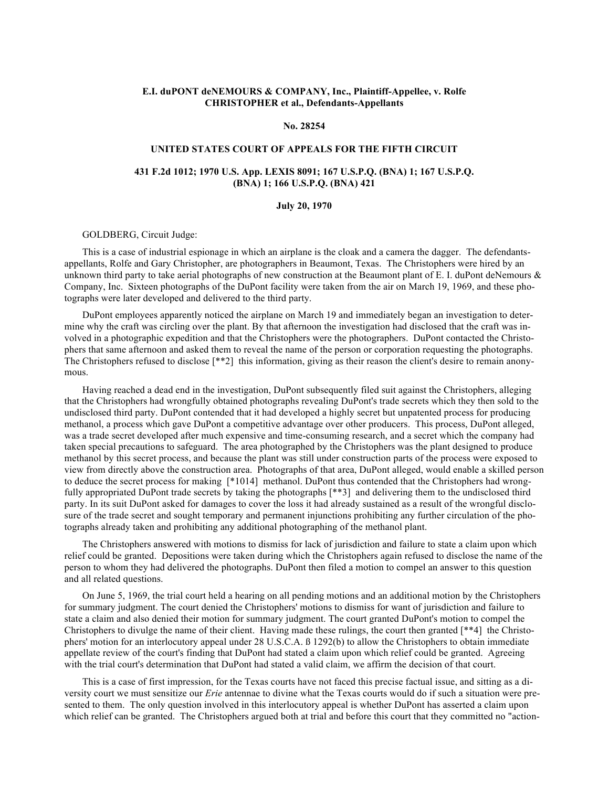## **E.I. duPONT deNEMOURS & COMPANY, Inc., Plaintiff-Appellee, v. Rolfe CHRISTOPHER et al., Defendants-Appellants**

#### **No. 28254**

### **UNITED STATES COURT OF APPEALS FOR THE FIFTH CIRCUIT**

# **431 F.2d 1012; 1970 U.S. App. LEXIS 8091; 167 U.S.P.Q. (BNA) 1; 167 U.S.P.Q. (BNA) 1; 166 U.S.P.Q. (BNA) 421**

### **July 20, 1970**

GOLDBERG, Circuit Judge:

This is a case of industrial espionage in which an airplane is the cloak and a camera the dagger. The defendantsappellants, Rolfe and Gary Christopher, are photographers in Beaumont, Texas. The Christophers were hired by an unknown third party to take aerial photographs of new construction at the Beaumont plant of E. I. duPont deNemours  $\&$ Company, Inc. Sixteen photographs of the DuPont facility were taken from the air on March 19, 1969, and these photographs were later developed and delivered to the third party.

DuPont employees apparently noticed the airplane on March 19 and immediately began an investigation to determine why the craft was circling over the plant. By that afternoon the investigation had disclosed that the craft was involved in a photographic expedition and that the Christophers were the photographers. DuPont contacted the Christophers that same afternoon and asked them to reveal the name of the person or corporation requesting the photographs. The Christophers refused to disclose [\*\*2] this information, giving as their reason the client's desire to remain anonymous.

Having reached a dead end in the investigation, DuPont subsequently filed suit against the Christophers, alleging that the Christophers had wrongfully obtained photographs revealing DuPont's trade secrets which they then sold to the undisclosed third party. DuPont contended that it had developed a highly secret but unpatented process for producing methanol, a process which gave DuPont a competitive advantage over other producers. This process, DuPont alleged, was a trade secret developed after much expensive and time-consuming research, and a secret which the company had taken special precautions to safeguard. The area photographed by the Christophers was the plant designed to produce methanol by this secret process, and because the plant was still under construction parts of the process were exposed to view from directly above the construction area. Photographs of that area, DuPont alleged, would enable a skilled person to deduce the secret process for making [\*1014] methanol. DuPont thus contended that the Christophers had wrongfully appropriated DuPont trade secrets by taking the photographs [\*\*3] and delivering them to the undisclosed third party. In its suit DuPont asked for damages to cover the loss it had already sustained as a result of the wrongful disclosure of the trade secret and sought temporary and permanent injunctions prohibiting any further circulation of the photographs already taken and prohibiting any additional photographing of the methanol plant.

The Christophers answered with motions to dismiss for lack of jurisdiction and failure to state a claim upon which relief could be granted. Depositions were taken during which the Christophers again refused to disclose the name of the person to whom they had delivered the photographs. DuPont then filed a motion to compel an answer to this question and all related questions.

On June 5, 1969, the trial court held a hearing on all pending motions and an additional motion by the Christophers for summary judgment. The court denied the Christophers' motions to dismiss for want of jurisdiction and failure to state a claim and also denied their motion for summary judgment. The court granted DuPont's motion to compel the Christophers to divulge the name of their client. Having made these rulings, the court then granted [\*\*4] the Christophers' motion for an interlocutory appeal under 28 U.S.C.A. ß 1292(b) to allow the Christophers to obtain immediate appellate review of the court's finding that DuPont had stated a claim upon which relief could be granted. Agreeing with the trial court's determination that DuPont had stated a valid claim, we affirm the decision of that court.

This is a case of first impression, for the Texas courts have not faced this precise factual issue, and sitting as a diversity court we must sensitize our *Erie* antennae to divine what the Texas courts would do if such a situation were presented to them. The only question involved in this interlocutory appeal is whether DuPont has asserted a claim upon which relief can be granted. The Christophers argued both at trial and before this court that they committed no "action-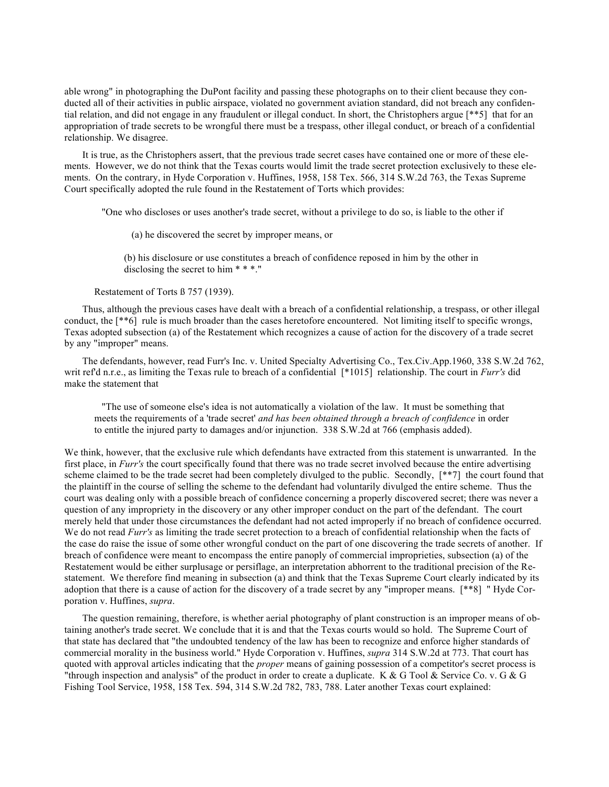able wrong" in photographing the DuPont facility and passing these photographs on to their client because they conducted all of their activities in public airspace, violated no government aviation standard, did not breach any confidential relation, and did not engage in any fraudulent or illegal conduct. In short, the Christophers argue [\*\*5] that for an appropriation of trade secrets to be wrongful there must be a trespass, other illegal conduct, or breach of a confidential relationship. We disagree.

It is true, as the Christophers assert, that the previous trade secret cases have contained one or more of these elements. However, we do not think that the Texas courts would limit the trade secret protection exclusively to these elements. On the contrary, in Hyde Corporation v. Huffines, 1958, 158 Tex. 566, 314 S.W.2d 763, the Texas Supreme Court specifically adopted the rule found in the Restatement of Torts which provides:

"One who discloses or uses another's trade secret, without a privilege to do so, is liable to the other if

(a) he discovered the secret by improper means, or

(b) his disclosure or use constitutes a breach of confidence reposed in him by the other in disclosing the secret to him \* \* \*."

Restatement of Torts ß 757 (1939).

Thus, although the previous cases have dealt with a breach of a confidential relationship, a trespass, or other illegal conduct, the [\*\*6] rule is much broader than the cases heretofore encountered. Not limiting itself to specific wrongs, Texas adopted subsection (a) of the Restatement which recognizes a cause of action for the discovery of a trade secret by any "improper" means.

The defendants, however, read Furr's Inc. v. United Specialty Advertising Co., Tex.Civ.App.1960, 338 S.W.2d 762, writ ref'd n.r.e., as limiting the Texas rule to breach of a confidential [\*1015] relationship. The court in *Furr's* did make the statement that

 "The use of someone else's idea is not automatically a violation of the law. It must be something that meets the requirements of a 'trade secret' *and has been obtained through a breach of confidence* in order to entitle the injured party to damages and/or injunction. 338 S.W.2d at 766 (emphasis added).

We think, however, that the exclusive rule which defendants have extracted from this statement is unwarranted. In the first place, in *Furr's* the court specifically found that there was no trade secret involved because the entire advertising scheme claimed to be the trade secret had been completely divulged to the public. Secondly, [\*\*7] the court found that the plaintiff in the course of selling the scheme to the defendant had voluntarily divulged the entire scheme. Thus the court was dealing only with a possible breach of confidence concerning a properly discovered secret; there was never a question of any impropriety in the discovery or any other improper conduct on the part of the defendant. The court merely held that under those circumstances the defendant had not acted improperly if no breach of confidence occurred. We do not read *Furr's* as limiting the trade secret protection to a breach of confidential relationship when the facts of the case do raise the issue of some other wrongful conduct on the part of one discovering the trade secrets of another. If breach of confidence were meant to encompass the entire panoply of commercial improprieties, subsection (a) of the Restatement would be either surplusage or persiflage, an interpretation abhorrent to the traditional precision of the Restatement. We therefore find meaning in subsection (a) and think that the Texas Supreme Court clearly indicated by its adoption that there is a cause of action for the discovery of a trade secret by any "improper means. [\*\*8] " Hyde Corporation v. Huffines, *supra*.

The question remaining, therefore, is whether aerial photography of plant construction is an improper means of obtaining another's trade secret. We conclude that it is and that the Texas courts would so hold. The Supreme Court of that state has declared that "the undoubted tendency of the law has been to recognize and enforce higher standards of commercial morality in the business world." Hyde Corporation v. Huffines, *supra* 314 S.W.2d at 773. That court has quoted with approval articles indicating that the *proper* means of gaining possession of a competitor's secret process is "through inspection and analysis" of the product in order to create a duplicate. K & G Tool & Service Co. v. G & G Fishing Tool Service, 1958, 158 Tex. 594, 314 S.W.2d 782, 783, 788. Later another Texas court explained: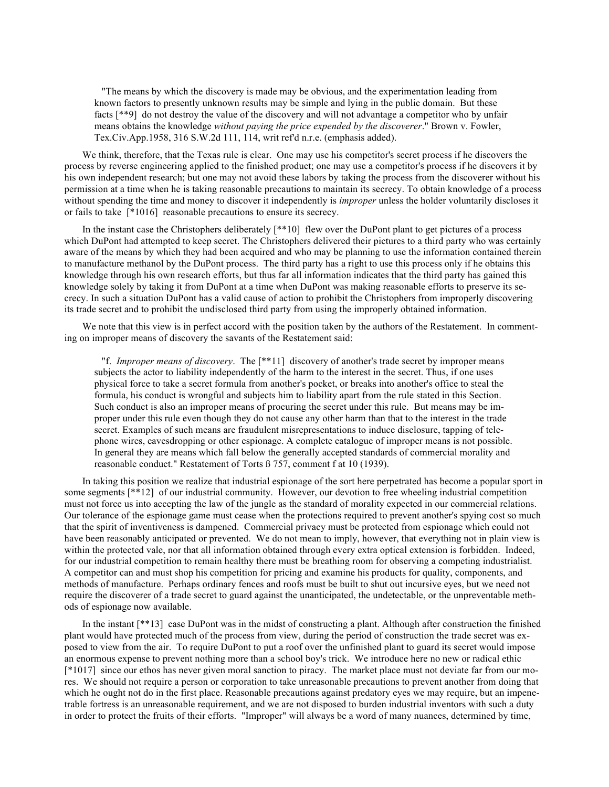"The means by which the discovery is made may be obvious, and the experimentation leading from known factors to presently unknown results may be simple and lying in the public domain. But these facts [\*\*9] do not destroy the value of the discovery and will not advantage a competitor who by unfair means obtains the knowledge *without paying the price expended by the discoverer*." Brown v. Fowler, Tex.Civ.App.1958, 316 S.W.2d 111, 114, writ ref'd n.r.e. (emphasis added).

We think, therefore, that the Texas rule is clear. One may use his competitor's secret process if he discovers the process by reverse engineering applied to the finished product; one may use a competitor's process if he discovers it by his own independent research; but one may not avoid these labors by taking the process from the discoverer without his permission at a time when he is taking reasonable precautions to maintain its secrecy. To obtain knowledge of a process without spending the time and money to discover it independently is *improper* unless the holder voluntarily discloses it or fails to take [\*1016] reasonable precautions to ensure its secrecy.

In the instant case the Christophers deliberately [\*\*10] flew over the DuPont plant to get pictures of a process which DuPont had attempted to keep secret. The Christophers delivered their pictures to a third party who was certainly aware of the means by which they had been acquired and who may be planning to use the information contained therein to manufacture methanol by the DuPont process. The third party has a right to use this process only if he obtains this knowledge through his own research efforts, but thus far all information indicates that the third party has gained this knowledge solely by taking it from DuPont at a time when DuPont was making reasonable efforts to preserve its secrecy. In such a situation DuPont has a valid cause of action to prohibit the Christophers from improperly discovering its trade secret and to prohibit the undisclosed third party from using the improperly obtained information.

We note that this view is in perfect accord with the position taken by the authors of the Restatement. In commenting on improper means of discovery the savants of the Restatement said:

 "f. *Improper means of discovery*. The [\*\*11] discovery of another's trade secret by improper means subjects the actor to liability independently of the harm to the interest in the secret. Thus, if one uses physical force to take a secret formula from another's pocket, or breaks into another's office to steal the formula, his conduct is wrongful and subjects him to liability apart from the rule stated in this Section. Such conduct is also an improper means of procuring the secret under this rule. But means may be improper under this rule even though they do not cause any other harm than that to the interest in the trade secret. Examples of such means are fraudulent misrepresentations to induce disclosure, tapping of telephone wires, eavesdropping or other espionage. A complete catalogue of improper means is not possible. In general they are means which fall below the generally accepted standards of commercial morality and reasonable conduct." Restatement of Torts ß 757, comment f at 10 (1939).

In taking this position we realize that industrial espionage of the sort here perpetrated has become a popular sport in some segments [\*\*12] of our industrial community. However, our devotion to free wheeling industrial competition must not force us into accepting the law of the jungle as the standard of morality expected in our commercial relations. Our tolerance of the espionage game must cease when the protections required to prevent another's spying cost so much that the spirit of inventiveness is dampened. Commercial privacy must be protected from espionage which could not have been reasonably anticipated or prevented. We do not mean to imply, however, that everything not in plain view is within the protected vale, nor that all information obtained through every extra optical extension is forbidden. Indeed, for our industrial competition to remain healthy there must be breathing room for observing a competing industrialist. A competitor can and must shop his competition for pricing and examine his products for quality, components, and methods of manufacture. Perhaps ordinary fences and roofs must be built to shut out incursive eyes, but we need not require the discoverer of a trade secret to guard against the unanticipated, the undetectable, or the unpreventable methods of espionage now available.

In the instant [\*\*13] case DuPont was in the midst of constructing a plant. Although after construction the finished plant would have protected much of the process from view, during the period of construction the trade secret was exposed to view from the air. To require DuPont to put a roof over the unfinished plant to guard its secret would impose an enormous expense to prevent nothing more than a school boy's trick. We introduce here no new or radical ethic [\*1017] since our ethos has never given moral sanction to piracy. The market place must not deviate far from our mores. We should not require a person or corporation to take unreasonable precautions to prevent another from doing that which he ought not do in the first place. Reasonable precautions against predatory eyes we may require, but an impenetrable fortress is an unreasonable requirement, and we are not disposed to burden industrial inventors with such a duty in order to protect the fruits of their efforts. "Improper" will always be a word of many nuances, determined by time,